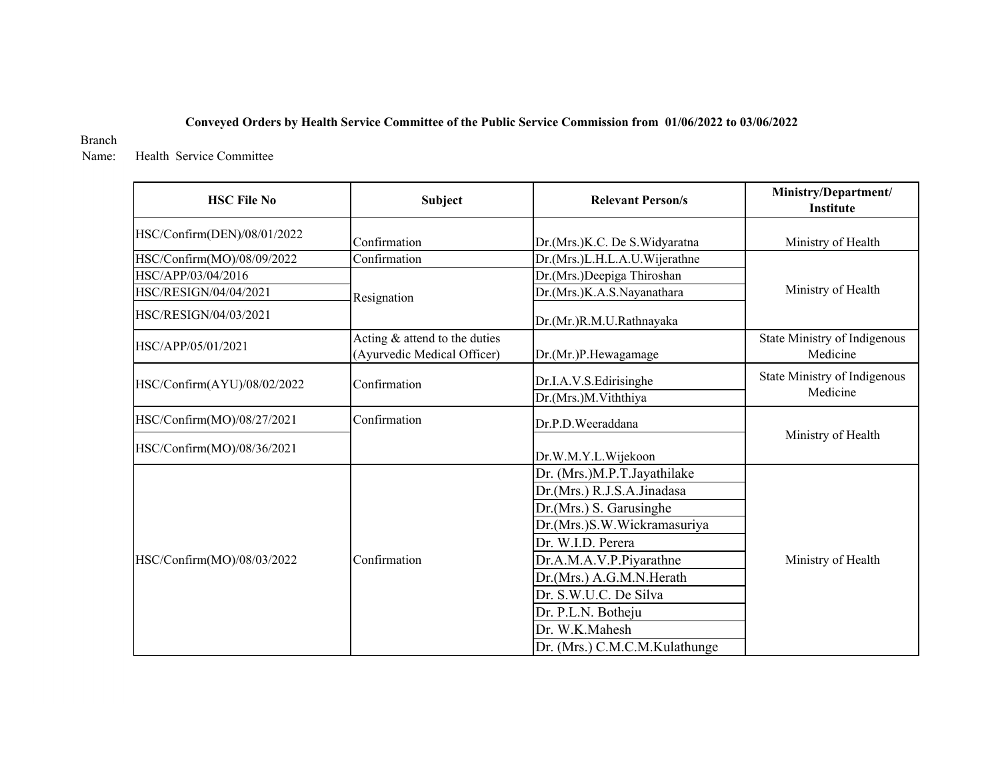#### **Conveyed Orders by Health Service Committee of the Public Service Commission from 01/06/2022 to 03/06/2022**

Branch

 Name: Health Service Committee

| <b>HSC File No</b>          | <b>Subject</b>                                                 | <b>Relevant Person/s</b>                                                                                                                                                                                                                                                                          | Ministry/Department/<br>Institute        |
|-----------------------------|----------------------------------------------------------------|---------------------------------------------------------------------------------------------------------------------------------------------------------------------------------------------------------------------------------------------------------------------------------------------------|------------------------------------------|
| HSC/Confirm(DEN)/08/01/2022 | Confirmation                                                   | Dr.(Mrs.)K.C. De S.Widyaratna                                                                                                                                                                                                                                                                     | Ministry of Health                       |
| HSC/Confirm(MO)/08/09/2022  | Confirmation                                                   | Dr.(Mrs.)L.H.L.A.U.Wijerathne                                                                                                                                                                                                                                                                     |                                          |
| HSC/APP/03/04/2016          |                                                                | Dr.(Mrs.)Deepiga Thiroshan                                                                                                                                                                                                                                                                        |                                          |
| HSC/RESIGN/04/04/2021       | Resignation                                                    | Dr.(Mrs.)K.A.S.Nayanathara                                                                                                                                                                                                                                                                        | Ministry of Health                       |
| HSC/RESIGN/04/03/2021       |                                                                | Dr.(Mr.)R.M.U.Rathnayaka                                                                                                                                                                                                                                                                          |                                          |
| HSC/APP/05/01/2021          | Acting $&$ attend to the duties<br>(Ayurvedic Medical Officer) | Dr.(Mr.)P.Hewagamage                                                                                                                                                                                                                                                                              | State Ministry of Indigenous<br>Medicine |
| HSC/Confirm(AYU)/08/02/2022 | Confirmation                                                   | Dr.I.A.V.S.Edirisinghe<br>Dr.(Mrs.)M.Viththiya                                                                                                                                                                                                                                                    | State Ministry of Indigenous<br>Medicine |
| HSC/Confirm(MO)/08/27/2021  | Confirmation                                                   | Dr.P.D.Weeraddana                                                                                                                                                                                                                                                                                 |                                          |
| HSC/Confirm(MO)/08/36/2021  |                                                                | Dr.W.M.Y.L.Wijekoon                                                                                                                                                                                                                                                                               | Ministry of Health                       |
| HSC/Confirm(MO)/08/03/2022  | Confirmation                                                   | Dr. (Mrs.)M.P.T.Jayathilake<br>Dr.(Mrs.) R.J.S.A.Jinadasa<br>Dr.(Mrs.) S. Garusinghe<br>Dr.(Mrs.)S.W.Wickramasuriya<br>Dr. W.I.D. Perera<br>Dr.A.M.A.V.P.Piyarathne<br>Dr.(Mrs.) A.G.M.N.Herath<br>Dr. S.W.U.C. De Silva<br>Dr. P.L.N. Botheju<br>Dr. W.K.Mahesh<br>Dr. (Mrs.) C.M.C.M.Kulathunge | Ministry of Health                       |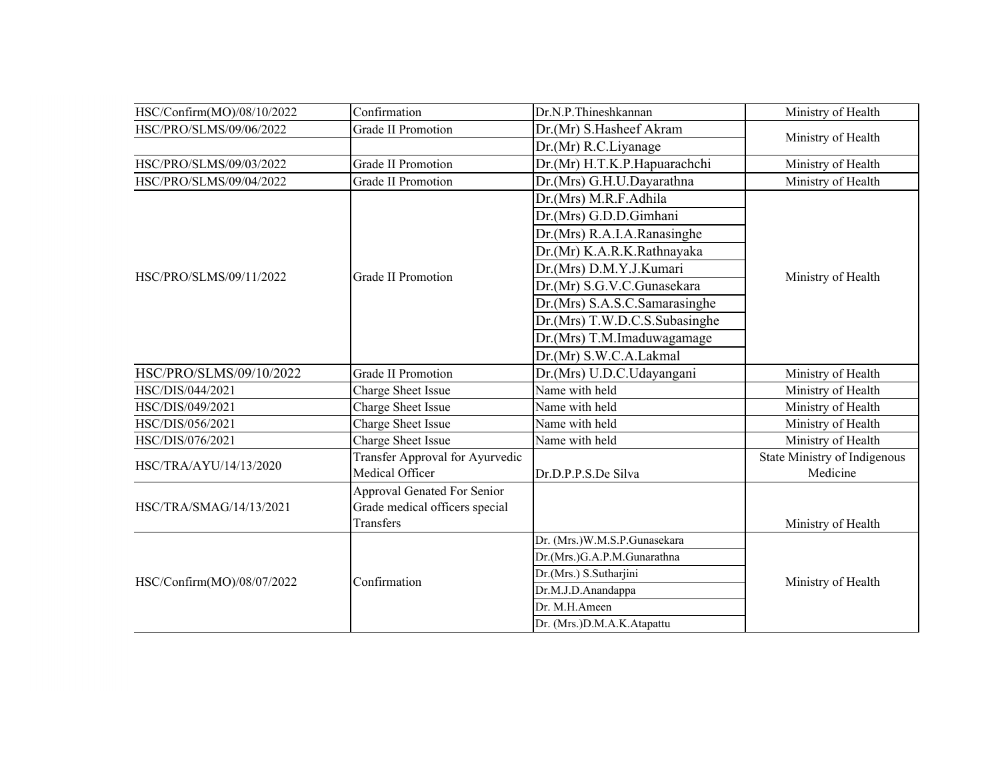| HSC/Confirm(MO)/08/10/2022 | Confirmation                       | Dr.N.P.Thineshkannan          | Ministry of Health           |
|----------------------------|------------------------------------|-------------------------------|------------------------------|
| HSC/PRO/SLMS/09/06/2022    | <b>Grade II Promotion</b>          | Dr.(Mr) S.Hasheef Akram       | Ministry of Health           |
|                            |                                    | Dr.(Mr) R.C.Liyanage          |                              |
| HSC/PRO/SLMS/09/03/2022    | <b>Grade II Promotion</b>          | Dr.(Mr) H.T.K.P.Hapuarachchi  | Ministry of Health           |
| HSC/PRO/SLMS/09/04/2022    | <b>Grade II Promotion</b>          | Dr.(Mrs) G.H.U.Dayarathna     | Ministry of Health           |
|                            |                                    | Dr.(Mrs) M.R.F.Adhila         |                              |
|                            |                                    | Dr.(Mrs) G.D.D.Gimhani        |                              |
|                            |                                    | Dr.(Mrs) R.A.I.A.Ranasinghe   |                              |
|                            |                                    | Dr.(Mr) K.A.R.K.Rathnayaka    |                              |
| HSC/PRO/SLMS/09/11/2022    | Grade II Promotion                 | Dr.(Mrs) D.M.Y.J.Kumari       |                              |
|                            |                                    | Dr.(Mr) S.G.V.C.Gunasekara    | Ministry of Health           |
|                            |                                    | Dr.(Mrs) S.A.S.C.Samarasinghe |                              |
|                            |                                    | Dr.(Mrs) T.W.D.C.S.Subasinghe |                              |
|                            |                                    | Dr.(Mrs) T.M.Imaduwagamage    |                              |
|                            |                                    | Dr.(Mr) S.W.C.A.Lakmal        |                              |
| HSC/PRO/SLMS/09/10/2022    | <b>Grade II Promotion</b>          | Dr.(Mrs) U.D.C.Udayangani     | Ministry of Health           |
| HSC/DIS/044/2021           | Charge Sheet Issue                 | Name with held                | Ministry of Health           |
| HSC/DIS/049/2021           | Charge Sheet Issue                 | Name with held                | Ministry of Health           |
| HSC/DIS/056/2021           | Charge Sheet Issue                 | Name with held                | Ministry of Health           |
| HSC/DIS/076/2021           | Charge Sheet Issue                 | Name with held                | Ministry of Health           |
| HSC/TRA/AYU/14/13/2020     | Transfer Approval for Ayurvedic    |                               | State Ministry of Indigenous |
|                            | Medical Officer                    | Dr.D.P.P.S.De Silva           | Medicine                     |
|                            | <b>Approval Genated For Senior</b> |                               |                              |
| HSC/TRA/SMAG/14/13/2021    | Grade medical officers special     |                               |                              |
|                            | Transfers                          |                               | Ministry of Health           |
| HSC/Confirm(MO)/08/07/2022 |                                    | Dr. (Mrs.)W.M.S.P.Gunasekara  |                              |
|                            |                                    | Dr.(Mrs.)G.A.P.M.Gunarathna   |                              |
|                            | Confirmation                       | Dr.(Mrs.) S.Sutharjini        | Ministry of Health           |
|                            |                                    | Dr.M.J.D.Anandappa            |                              |
|                            |                                    | Dr. M.H.Ameen                 |                              |
|                            |                                    | Dr. (Mrs.)D.M.A.K.Atapattu    |                              |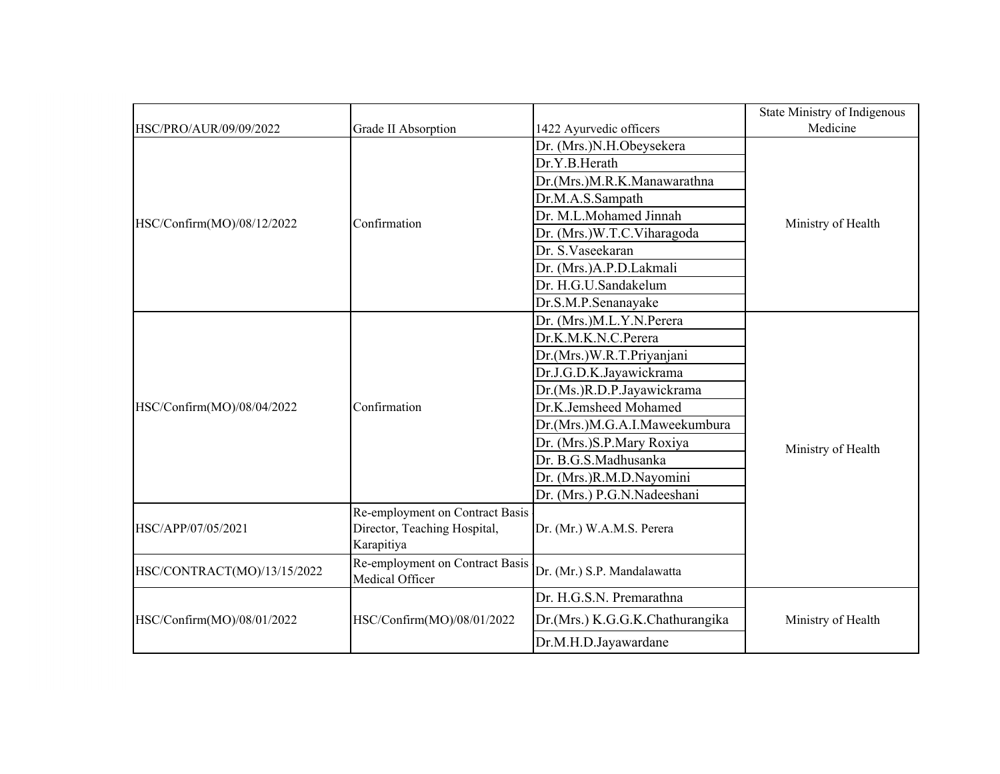|                             |                                                    |                                 | State Ministry of Indigenous |  |
|-----------------------------|----------------------------------------------------|---------------------------------|------------------------------|--|
| HSC/PRO/AUR/09/09/2022      | Grade II Absorption                                | 1422 Ayurvedic officers         | Medicine                     |  |
|                             |                                                    | Dr. (Mrs.)N.H.Obeysekera        |                              |  |
|                             |                                                    | Dr.Y.B.Herath                   |                              |  |
|                             |                                                    | Dr.(Mrs.)M.R.K.Manawarathna     |                              |  |
|                             |                                                    | Dr.M.A.S.Sampath                |                              |  |
| HSC/Confirm(MO)/08/12/2022  | Confirmation                                       | Dr. M.L.Mohamed Jinnah          | Ministry of Health           |  |
|                             |                                                    | Dr. (Mrs.)W.T.C.Viharagoda      |                              |  |
|                             |                                                    | Dr. S. Vaseekaran               |                              |  |
|                             |                                                    | Dr. (Mrs.)A.P.D.Lakmali         |                              |  |
|                             |                                                    | Dr. H.G.U.Sandakelum            |                              |  |
|                             | Dr.S.M.P.Senanayake                                |                                 |                              |  |
|                             |                                                    | Dr. (Mrs.)M.L.Y.N.Perera        |                              |  |
|                             |                                                    | Dr.K.M.K.N.C.Perera             |                              |  |
|                             |                                                    | Dr.(Mrs.)W.R.T.Priyanjani       |                              |  |
|                             |                                                    | Dr.J.G.D.K.Jayawickrama         | Ministry of Health           |  |
|                             |                                                    | Dr.(Ms.)R.D.P.Jayawickrama      |                              |  |
| HSC/Confirm(MO)/08/04/2022  | Confirmation                                       | Dr.K.Jemsheed Mohamed           |                              |  |
|                             |                                                    | Dr.(Mrs.)M.G.A.I.Maweekumbura   |                              |  |
|                             |                                                    | Dr. (Mrs.) S.P. Mary Roxiya     |                              |  |
|                             |                                                    | Dr. B.G.S.Madhusanka            |                              |  |
|                             |                                                    | Dr. (Mrs.)R.M.D.Nayomini        |                              |  |
|                             |                                                    | Dr. (Mrs.) P.G.N.Nadeeshani     |                              |  |
|                             | Re-employment on Contract Basis                    |                                 |                              |  |
| HSC/APP/07/05/2021          | Director, Teaching Hospital,                       | Dr. (Mr.) W.A.M.S. Perera       |                              |  |
|                             | Karapitiya                                         |                                 |                              |  |
| HSC/CONTRACT(MO)/13/15/2022 | Re-employment on Contract Basis<br>Medical Officer | Dr. (Mr.) S.P. Mandalawatta     |                              |  |
|                             |                                                    | Dr. H.G.S.N. Premarathna        |                              |  |
| HSC/Confirm(MO)/08/01/2022  | HSC/Confirm(MO)/08/01/2022                         | Dr.(Mrs.) K.G.G.K.Chathurangika | Ministry of Health           |  |
|                             |                                                    | Dr.M.H.D.Jayawardane            |                              |  |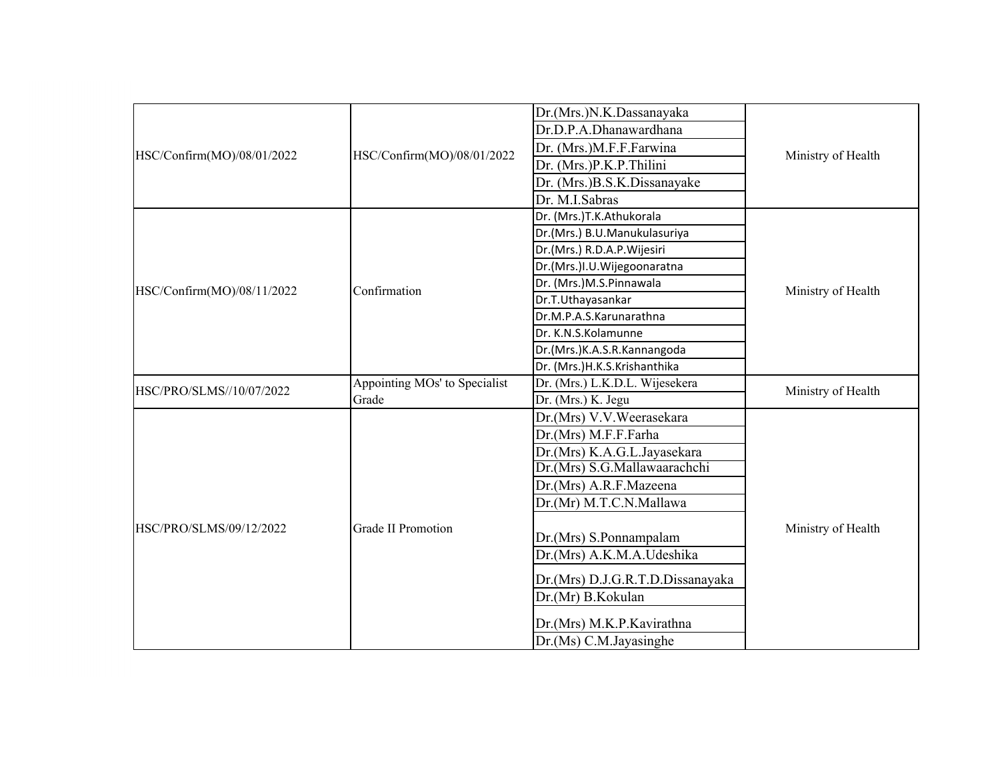|                            |                               | Dr.(Mrs.)N.K.Dassanayaka         |                    |  |
|----------------------------|-------------------------------|----------------------------------|--------------------|--|
|                            |                               | Dr.D.P.A.Dhanawardhana           |                    |  |
|                            |                               | Dr. (Mrs.)M.F.F.Farwina          |                    |  |
| HSC/Confirm(MO)/08/01/2022 | HSC/Confirm(MO)/08/01/2022    | Dr. (Mrs.)P.K.P.Thilini          | Ministry of Health |  |
|                            |                               | Dr. (Mrs.)B.S.K.Dissanayake      |                    |  |
|                            |                               | Dr. M.I.Sabras                   |                    |  |
|                            |                               | Dr. (Mrs.)T.K.Athukorala         |                    |  |
|                            |                               | Dr.(Mrs.) B.U.Manukulasuriya     |                    |  |
|                            |                               | Dr.(Mrs.) R.D.A.P.Wijesiri       |                    |  |
|                            |                               | Dr.(Mrs.)I.U.Wijegoonaratna      |                    |  |
| HSC/Confirm(MO)/08/11/2022 | Confirmation                  | Dr. (Mrs.)M.S.Pinnawala          | Ministry of Health |  |
|                            |                               | Dr.T.Uthayasankar                |                    |  |
|                            |                               | Dr.M.P.A.S.Karunarathna          |                    |  |
|                            |                               | Dr. K.N.S.Kolamunne              |                    |  |
|                            |                               | Dr.(Mrs.)K.A.S.R.Kannangoda      |                    |  |
|                            |                               | Dr. (Mrs.)H.K.S.Krishanthika     |                    |  |
| HSC/PRO/SLMS//10/07/2022   | Appointing MOs' to Specialist | Dr. (Mrs.) L.K.D.L. Wijesekera   | Ministry of Health |  |
|                            | Grade                         | Dr. (Mrs.) K. Jegu               |                    |  |
|                            |                               | Dr.(Mrs) V.V.Weerasekara         |                    |  |
|                            |                               | Dr.(Mrs) M.F.F.Farha             |                    |  |
|                            |                               | Dr.(Mrs) K.A.G.L.Jayasekara      |                    |  |
|                            |                               | Dr.(Mrs) S.G.Mallawaarachchi     |                    |  |
|                            |                               | Dr.(Mrs) A.R.F.Mazeena           |                    |  |
|                            |                               | Dr.(Mr) M.T.C.N.Mallawa          |                    |  |
| HSC/PRO/SLMS/09/12/2022    | <b>Grade II Promotion</b>     |                                  | Ministry of Health |  |
|                            |                               | Dr.(Mrs) S.Ponnampalam           |                    |  |
|                            |                               | Dr.(Mrs) A.K.M.A.Udeshika        |                    |  |
|                            |                               | Dr.(Mrs) D.J.G.R.T.D.Dissanayaka |                    |  |
|                            |                               | Dr.(Mr) B.Kokulan                |                    |  |
|                            |                               |                                  |                    |  |
|                            |                               | Dr.(Mrs) M.K.P.Kavirathna        |                    |  |
|                            |                               | Dr.(Ms) C.M.Javasinghe           |                    |  |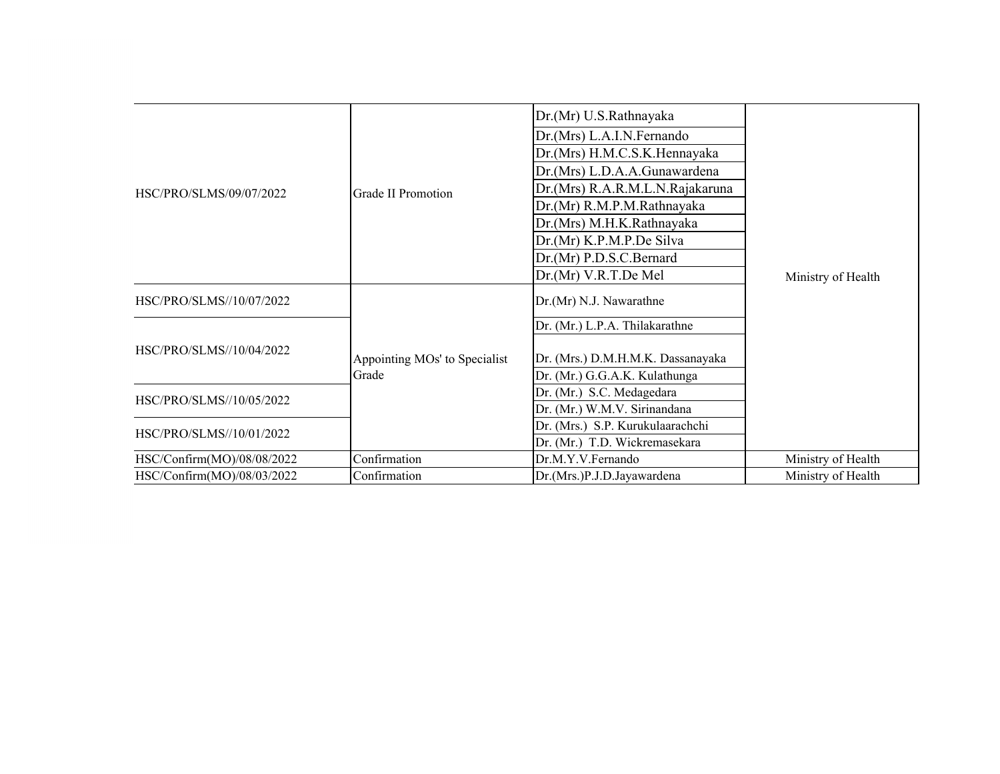|                            |                               | Dr.(Mr) U.S.Rathnayaka            |                    |
|----------------------------|-------------------------------|-----------------------------------|--------------------|
|                            |                               | Dr.(Mrs) L.A.I.N.Fernando         |                    |
|                            |                               | Dr.(Mrs) H.M.C.S.K.Hennayaka      |                    |
|                            |                               | Dr.(Mrs) L.D.A.A.Gunawardena      |                    |
| HSC/PRO/SLMS/09/07/2022    | Grade II Promotion            | Dr.(Mrs) R.A.R.M.L.N.Rajakaruna   |                    |
|                            |                               | Dr.(Mr) R.M.P.M.Rathnayaka        |                    |
|                            |                               | Dr.(Mrs) M.H.K.Rathnayaka         |                    |
|                            |                               | Dr.(Mr) K.P.M.P.De Silva          |                    |
|                            |                               | Dr.(Mr) P.D.S.C.Bernard           |                    |
|                            |                               | Dr.(Mr) V.R.T.De Mel              | Ministry of Health |
| HSC/PRO/SLMS//10/07/2022   |                               | Dr.(Mr) N.J. Nawarathne           |                    |
|                            |                               | Dr. (Mr.) L.P.A. Thilakarathne    |                    |
| HSC/PRO/SLMS//10/04/2022   | Appointing MOs' to Specialist | Dr. (Mrs.) D.M.H.M.K. Dassanayaka |                    |
|                            | Grade                         | Dr. (Mr.) G.G.A.K. Kulathunga     |                    |
| HSC/PRO/SLMS//10/05/2022   |                               | Dr. (Mr.) S.C. Medagedara         |                    |
|                            |                               | Dr. (Mr.) W.M.V. Sirinandana      |                    |
| HSC/PRO/SLMS//10/01/2022   |                               | Dr. (Mrs.) S.P. Kurukulaarachchi  |                    |
|                            |                               | Dr. (Mr.) T.D. Wickremasekara     |                    |
| HSC/Confirm(MO)/08/08/2022 | Confirmation                  | Dr.M.Y.V.Fernando                 | Ministry of Health |
| HSC/Confirm(MO)/08/03/2022 | Confirmation                  | Dr.(Mrs.)P.J.D.Jayawardena        | Ministry of Health |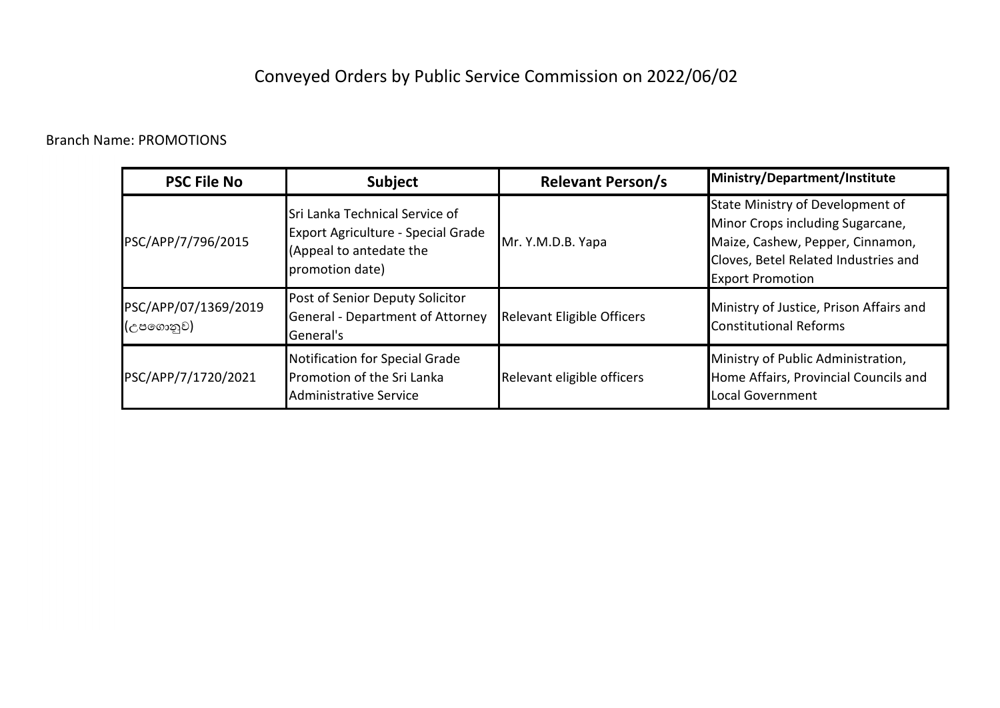## Conveyed Orders by Public Service Commission on 2022/06/02

### Branch Name: PROMOTIONS

| <b>PSC File No</b>                | <b>Subject</b>                                                                                                     | <b>Relevant Person/s</b>   | Ministry/Department/Institute                                                                                                                                               |
|-----------------------------------|--------------------------------------------------------------------------------------------------------------------|----------------------------|-----------------------------------------------------------------------------------------------------------------------------------------------------------------------------|
| PSC/APP/7/796/2015                | Sri Lanka Technical Service of<br>Export Agriculture - Special Grade<br>(Appeal to antedate the<br>promotion date) | Mr. Y.M.D.B. Yapa          | State Ministry of Development of<br>Minor Crops including Sugarcane,<br>Maize, Cashew, Pepper, Cinnamon,<br>Cloves, Betel Related Industries and<br><b>Export Promotion</b> |
| PSC/APP/07/1369/2019<br>(උපගොනුව) | Post of Senior Deputy Solicitor<br>General - Department of Attorney<br>General's                                   | Relevant Eligible Officers | Ministry of Justice, Prison Affairs and<br><b>Constitutional Reforms</b>                                                                                                    |
| PSC/APP/7/1720/2021               | Notification for Special Grade<br>Promotion of the Sri Lanka<br>Administrative Service                             | Relevant eligible officers | Ministry of Public Administration,<br>Home Affairs, Provincial Councils and<br>Local Government                                                                             |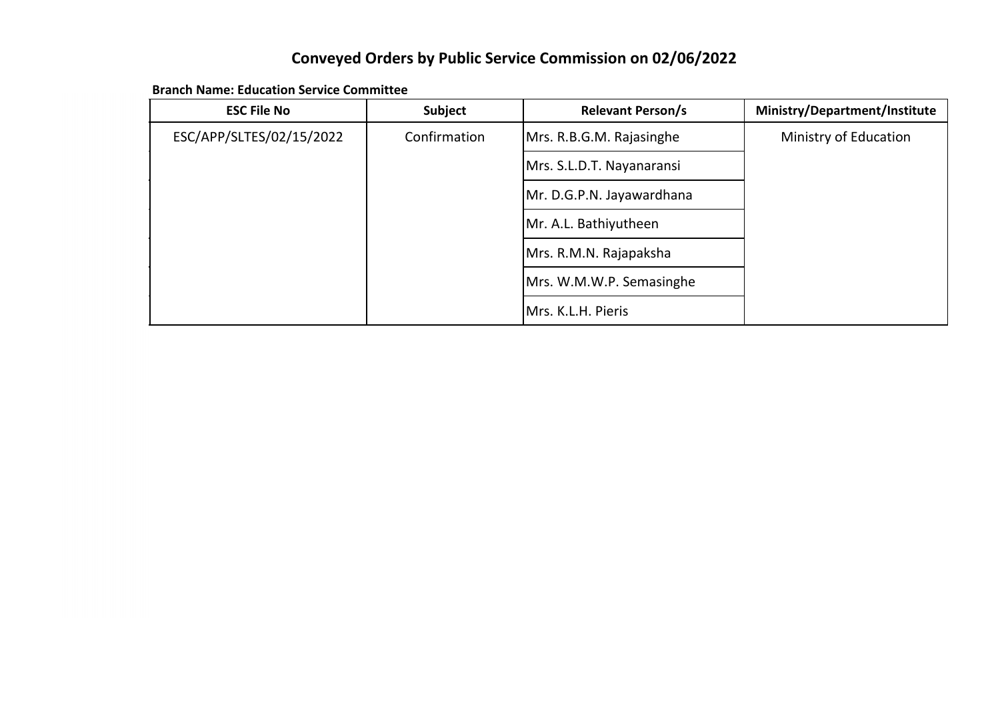## **Conveyed Orders by Public Service Commission on 02/06/2022**

| <b>ESC File No</b>       | Subject      | <b>Relevant Person/s</b>  | Ministry/Department/Institute |
|--------------------------|--------------|---------------------------|-------------------------------|
| ESC/APP/SLTES/02/15/2022 | Confirmation | Mrs. R.B.G.M. Rajasinghe  | Ministry of Education         |
|                          |              | Mrs. S.L.D.T. Nayanaransi |                               |
|                          |              | Mr. D.G.P.N. Jayawardhana |                               |
|                          |              | Mr. A.L. Bathiyutheen     |                               |
|                          |              | Mrs. R.M.N. Rajapaksha    |                               |
|                          |              | Mrs. W.M.W.P. Semasinghe  |                               |
|                          |              | Mrs. K.L.H. Pieris        |                               |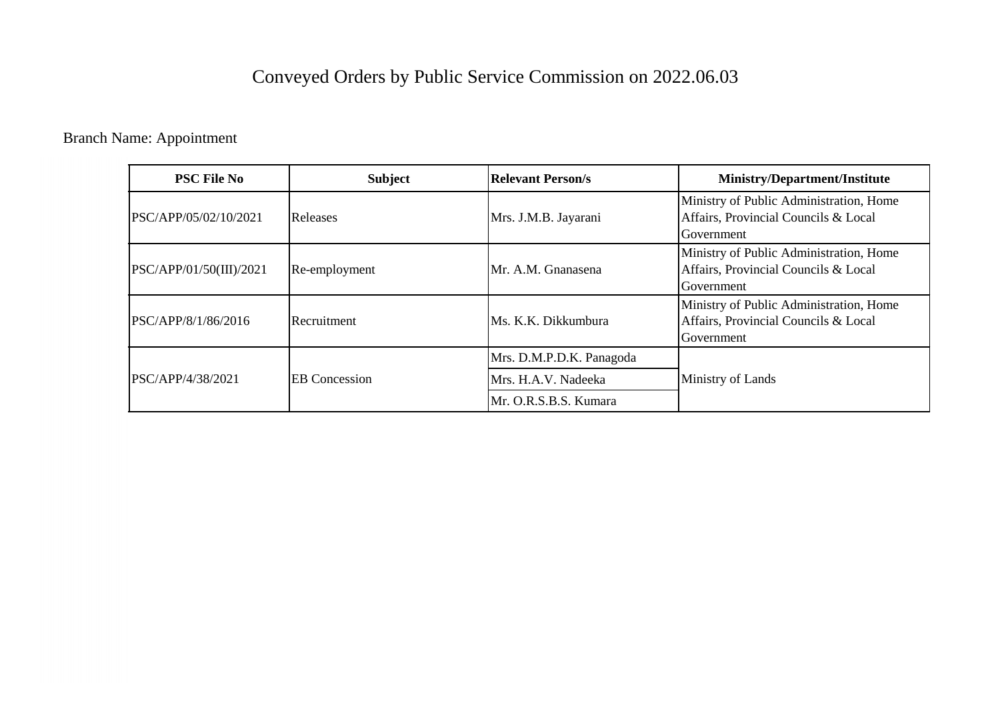## Conveyed Orders by Public Service Commission on 2022.06.03

Branch Name: Appointment

| <b>PSC File No</b>      | <b>Subject</b>       | <b>Relevant Person/s</b> | <b>Ministry/Department/Institute</b>                                                          |
|-------------------------|----------------------|--------------------------|-----------------------------------------------------------------------------------------------|
| PSC/APP/05/02/10/2021   | Releases             | Mrs. J.M.B. Jayarani     | Ministry of Public Administration, Home<br>Affairs, Provincial Councils & Local<br>Government |
| PSC/APP/01/50(III)/2021 | Re-employment        | Mr. A.M. Gnanasena       | Ministry of Public Administration, Home<br>Affairs, Provincial Councils & Local<br>Government |
| PSC/APP/8/1/86/2016     | Recruitment          | Ms. K.K. Dikkumbura      | Ministry of Public Administration, Home<br>Affairs, Provincial Councils & Local<br>Government |
|                         |                      | Mrs. D.M.P.D.K. Panagoda |                                                                                               |
| PSC/APP/4/38/2021       | <b>EB</b> Concession | Mrs. H.A.V. Nadeeka      | Ministry of Lands                                                                             |
|                         |                      | Mr. O.R.S.B.S. Kumara    |                                                                                               |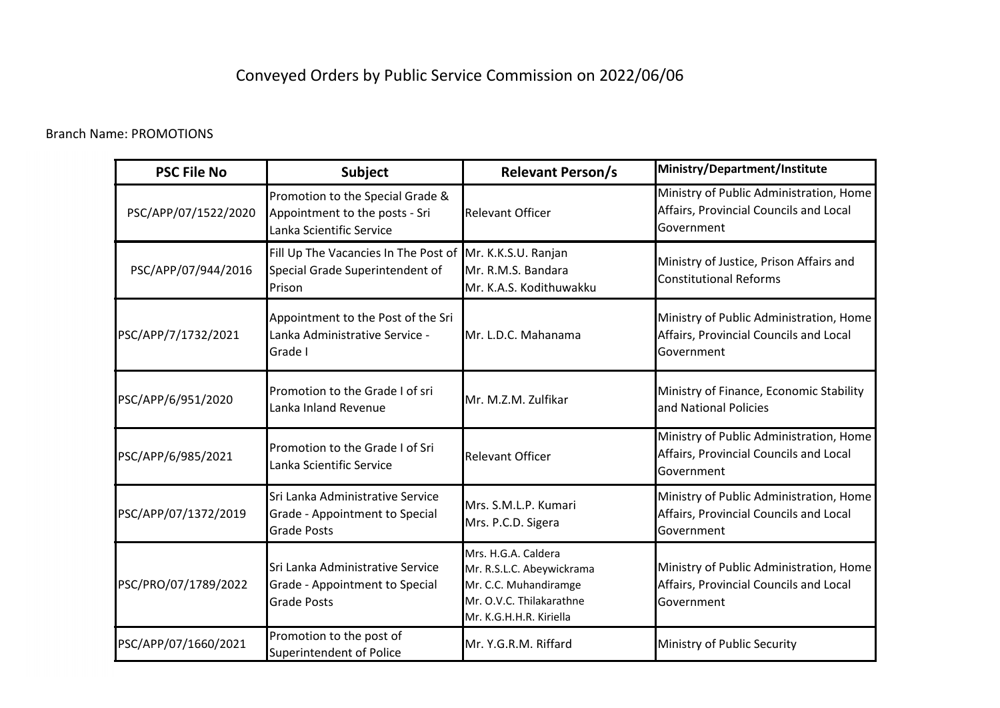## Conveyed Orders by Public Service Commission on 2022/06/06

#### Branch Name: PROMOTIONS

| <b>PSC File No</b>   | <b>Subject</b>                                                                                        | <b>Relevant Person/s</b>                                                                                                         | Ministry/Department/Institute                                                                   |  |
|----------------------|-------------------------------------------------------------------------------------------------------|----------------------------------------------------------------------------------------------------------------------------------|-------------------------------------------------------------------------------------------------|--|
| PSC/APP/07/1522/2020 | Promotion to the Special Grade &<br>Appointment to the posts - Sri<br>Lanka Scientific Service        | <b>Relevant Officer</b>                                                                                                          | Ministry of Public Administration, Home<br>Affairs, Provincial Councils and Local<br>Government |  |
| PSC/APP/07/944/2016  | Fill Up The Vacancies In The Post of Mr. K.K.S.U. Ranjan<br>Special Grade Superintendent of<br>Prison | Mr. R.M.S. Bandara<br>Mr. K.A.S. Kodithuwakku                                                                                    | Ministry of Justice, Prison Affairs and<br><b>Constitutional Reforms</b>                        |  |
| PSC/APP/7/1732/2021  | Appointment to the Post of the Sri<br>Lanka Administrative Service -<br>Grade I                       | Mr. L.D.C. Mahanama                                                                                                              | Ministry of Public Administration, Home<br>Affairs, Provincial Councils and Local<br>Government |  |
| PSC/APP/6/951/2020   | Promotion to the Grade I of sri<br>Lanka Inland Revenue                                               | Mr. M.Z.M. Zulfikar                                                                                                              | Ministry of Finance, Economic Stability<br>and National Policies                                |  |
| PSC/APP/6/985/2021   | Promotion to the Grade I of Sri<br>Lanka Scientific Service                                           | <b>Relevant Officer</b>                                                                                                          | Ministry of Public Administration, Home<br>Affairs, Provincial Councils and Local<br>Government |  |
| PSC/APP/07/1372/2019 | Sri Lanka Administrative Service<br>Grade - Appointment to Special<br><b>Grade Posts</b>              | Mrs. S.M.L.P. Kumari<br>Mrs. P.C.D. Sigera                                                                                       | Ministry of Public Administration, Home<br>Affairs, Provincial Councils and Local<br>Government |  |
| PSC/PRO/07/1789/2022 | Sri Lanka Administrative Service<br>Grade - Appointment to Special<br><b>Grade Posts</b>              | Mrs. H.G.A. Caldera<br>Mr. R.S.L.C. Abeywickrama<br>Mr. C.C. Muhandiramge<br>Mr. O.V.C. Thilakarathne<br>Mr. K.G.H.H.R. Kiriella | Ministry of Public Administration, Home<br>Affairs, Provincial Councils and Local<br>Government |  |
| PSC/APP/07/1660/2021 | Promotion to the post of<br>Superintendent of Police                                                  | Mr. Y.G.R.M. Riffard                                                                                                             | Ministry of Public Security                                                                     |  |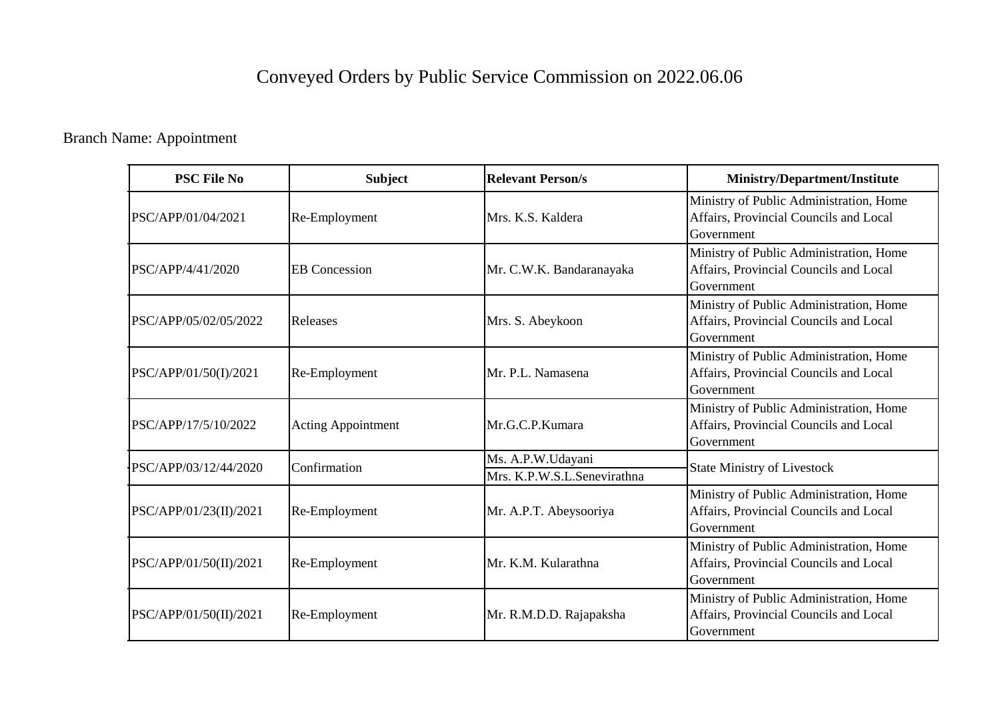# Conveyed Orders by Public Service Commission on 2022.06.06

Branch Name: Appointment

| <b>PSC File No</b>     | <b>Subject</b>            | <b>Relevant Person/s</b>                         | <b>Ministry/Department/Institute</b>                                                            |
|------------------------|---------------------------|--------------------------------------------------|-------------------------------------------------------------------------------------------------|
| PSC/APP/01/04/2021     | Re-Employment             | Mrs. K.S. Kaldera                                | Ministry of Public Administration, Home<br>Affairs, Provincial Councils and Local<br>Government |
| PSC/APP/4/41/2020      | <b>EB</b> Concession      | Mr. C.W.K. Bandaranayaka                         | Ministry of Public Administration, Home<br>Affairs, Provincial Councils and Local<br>Government |
| PSC/APP/05/02/05/2022  | Releases                  | Mrs. S. Abeykoon                                 | Ministry of Public Administration, Home<br>Affairs, Provincial Councils and Local<br>Government |
| PSC/APP/01/50(I)/2021  | Re-Employment             | Mr. P.L. Namasena                                | Ministry of Public Administration, Home<br>Affairs, Provincial Councils and Local<br>Government |
| PSC/APP/17/5/10/2022   | <b>Acting Appointment</b> | Mr.G.C.P.Kumara                                  | Ministry of Public Administration, Home<br>Affairs, Provincial Councils and Local<br>Government |
| PSC/APP/03/12/44/2020  | Confirmation              | Ms. A.P.W.Udayani<br>Mrs. K.P.W.S.L.Senevirathna | <b>State Ministry of Livestock</b>                                                              |
| PSC/APP/01/23(II)/2021 | Re-Employment             | Mr. A.P.T. Abeysooriya                           | Ministry of Public Administration, Home<br>Affairs, Provincial Councils and Local<br>Government |
| PSC/APP/01/50(II)/2021 | Re-Employment             | Mr. K.M. Kularathna                              | Ministry of Public Administration, Home<br>Affairs, Provincial Councils and Local<br>Government |
| PSC/APP/01/50(II)/2021 | Re-Employment             | Mr. R.M.D.D. Rajapaksha                          | Ministry of Public Administration, Home<br>Affairs, Provincial Councils and Local<br>Government |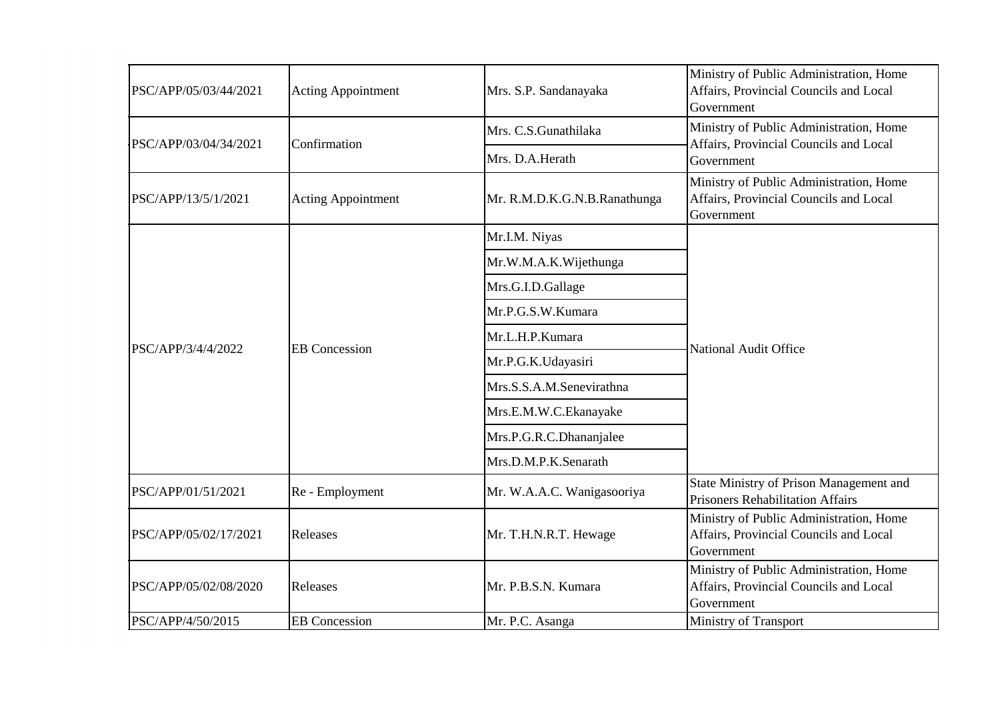| PSC/APP/05/03/44/2021 | <b>Acting Appointment</b> | Mrs. S.P. Sandanayaka        | Ministry of Public Administration, Home<br>Affairs, Provincial Councils and Local<br>Government |
|-----------------------|---------------------------|------------------------------|-------------------------------------------------------------------------------------------------|
|                       |                           | Mrs. C.S.Gunathilaka         | Ministry of Public Administration, Home                                                         |
| PSC/APP/03/04/34/2021 | Confirmation              | Mrs. D.A.Herath              | Affairs, Provincial Councils and Local<br>Government                                            |
| PSC/APP/13/5/1/2021   | <b>Acting Appointment</b> | Mr. R.M.D.K.G.N.B.Ranathunga | Ministry of Public Administration, Home<br>Affairs, Provincial Councils and Local<br>Government |
|                       |                           | Mr.I.M. Niyas                |                                                                                                 |
|                       |                           | Mr.W.M.A.K.Wijethunga        |                                                                                                 |
|                       |                           | Mrs.G.I.D.Gallage            |                                                                                                 |
|                       |                           | Mr.P.G.S.W.Kumara            | <b>National Audit Office</b>                                                                    |
| PSC/APP/3/4/4/2022    | <b>EB</b> Concession      | Mr.L.H.P.Kumara              |                                                                                                 |
|                       |                           | Mr.P.G.K.Udayasiri           |                                                                                                 |
|                       |                           | Mrs.S.S.A.M.Senevirathna     |                                                                                                 |
|                       |                           | Mrs.E.M.W.C.Ekanayake        |                                                                                                 |
|                       |                           | Mrs.P.G.R.C.Dhananjalee      |                                                                                                 |
|                       |                           | Mrs.D.M.P.K.Senarath         |                                                                                                 |
| PSC/APP/01/51/2021    | Re - Employment           | Mr. W.A.A.C. Wanigasooriya   | State Ministry of Prison Management and<br><b>Prisoners Rehabilitation Affairs</b>              |
| PSC/APP/05/02/17/2021 | Releases                  | Mr. T.H.N.R.T. Hewage        | Ministry of Public Administration, Home<br>Affairs, Provincial Councils and Local<br>Government |
| PSC/APP/05/02/08/2020 | Releases                  | Mr. P.B.S.N. Kumara          | Ministry of Public Administration, Home<br>Affairs, Provincial Councils and Local<br>Government |
| PSC/APP/4/50/2015     | <b>EB</b> Concession      | Mr. P.C. Asanga              | Ministry of Transport                                                                           |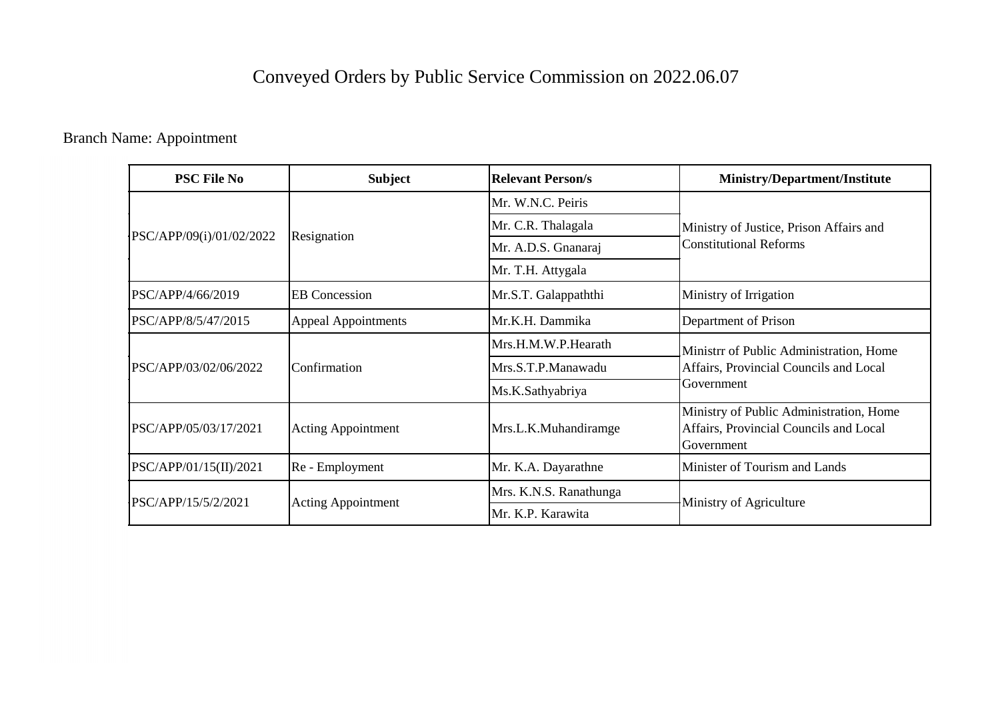## Conveyed Orders by Public Service Commission on 2022.06.07

Branch Name: Appointment

| <b>PSC File No</b>       | <b>Subject</b>             | <b>Relevant Person/s</b> | <b>Ministry/Department/Institute</b>                                                            |
|--------------------------|----------------------------|--------------------------|-------------------------------------------------------------------------------------------------|
| PSC/APP/09(i)/01/02/2022 | Resignation                | Mr. W.N.C. Peiris        | Ministry of Justice, Prison Affairs and<br><b>Constitutional Reforms</b>                        |
|                          |                            | Mr. C.R. Thalagala       |                                                                                                 |
|                          |                            | Mr. A.D.S. Gnanaraj      |                                                                                                 |
|                          |                            | Mr. T.H. Attygala        |                                                                                                 |
| PSC/APP/4/66/2019        | <b>EB</b> Concession       | Mr.S.T. Galappaththi     | Ministry of Irrigation                                                                          |
| PSC/APP/8/5/47/2015      | <b>Appeal Appointments</b> | Mr.K.H. Dammika          | Department of Prison                                                                            |
| PSC/APP/03/02/06/2022    | Confirmation               | Mrs.H.M.W.P.Hearath      | Ministrr of Public Administration, Home<br>Affairs, Provincial Councils and Local<br>Government |
|                          |                            | Mrs.S.T.P.Manawadu       |                                                                                                 |
|                          |                            | Ms.K.Sathyabriya         |                                                                                                 |
| PSC/APP/05/03/17/2021    | <b>Acting Appointment</b>  | Mrs.L.K.Muhandiramge     | Ministry of Public Administration, Home<br>Affairs, Provincial Councils and Local<br>Government |
| PSC/APP/01/15(II)/2021   | Re - Employment            | Mr. K.A. Dayarathne      | Minister of Tourism and Lands                                                                   |
| PSC/APP/15/5/2/2021      | <b>Acting Appointment</b>  | Mrs. K.N.S. Ranathunga   | Ministry of Agriculture                                                                         |
|                          |                            | Mr. K.P. Karawita        |                                                                                                 |